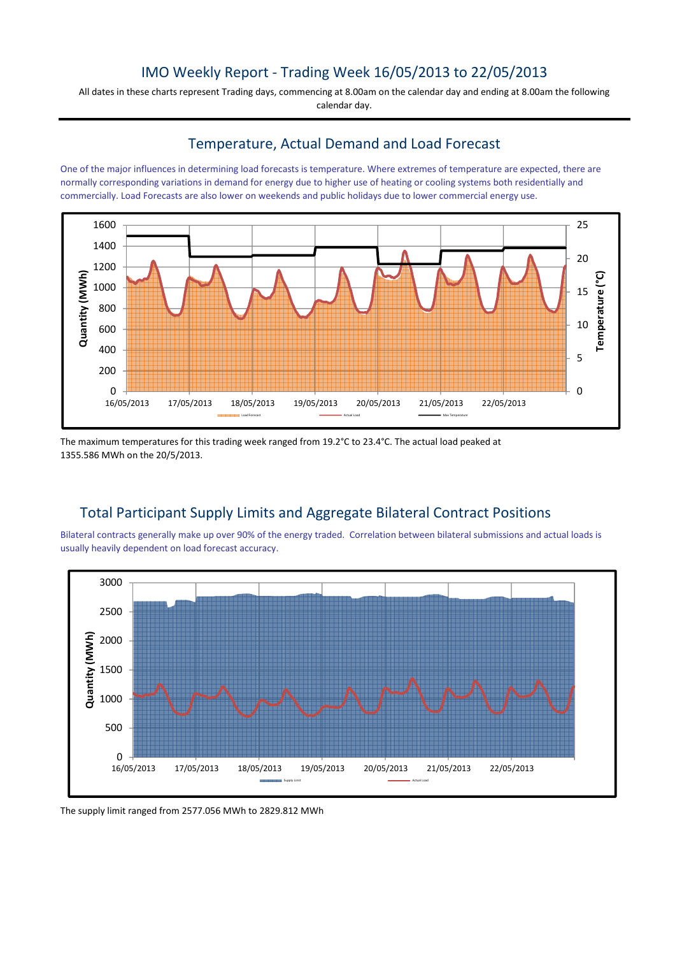## IMO Weekly Report - Trading Week 16/05/2013 to 22/05/2013

All dates in these charts represent Trading days, commencing at 8.00am on the calendar day and ending at 8.00am the following calendar day.

#### Temperature, Actual Demand and Load Forecast

One of the major influences in determining load forecasts is temperature. Where extremes of temperature are expected, there are normally corresponding variations in demand for energy due to higher use of heating or cooling systems both residentially and commercially. Load Forecasts are also lower on weekends and public holidays due to lower commercial energy use.



The maximum temperatures for this trading week ranged from 19.2°C to 23.4°C. The actual load peaked at 1355.586 MWh on the 20/5/2013.

# Total Participant Supply Limits and Aggregate Bilateral Contract Positions

Bilateral contracts generally make up over 90% of the energy traded. Correlation between bilateral submissions and actual loads is usually heavily dependent on load forecast accuracy.



The supply limit ranged from 2577.056 MWh to 2829.812 MWh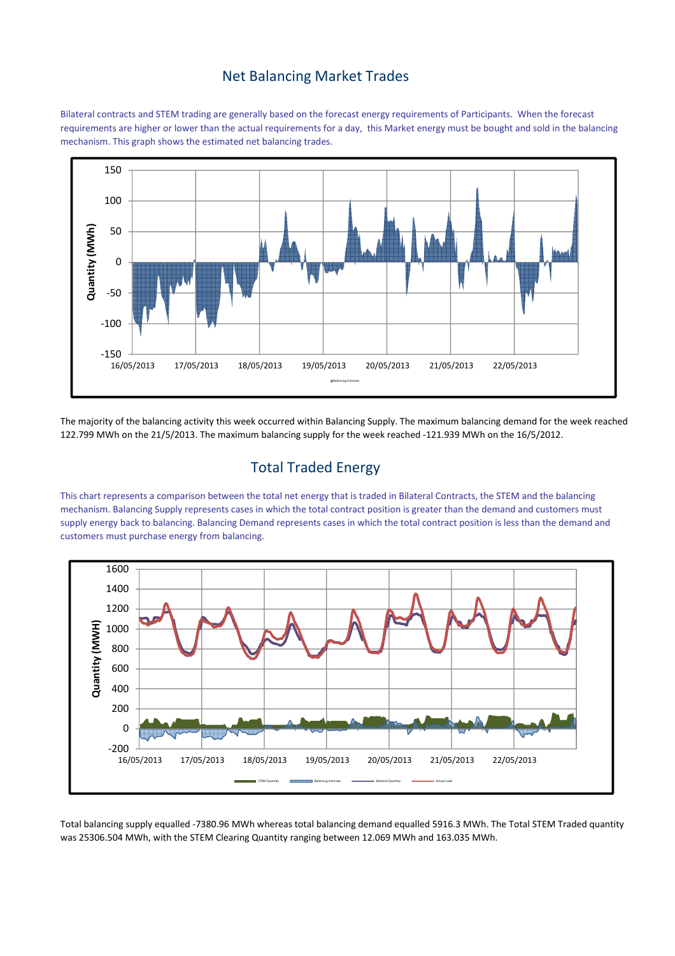#### Net Balancing Market Trades

Bilateral contracts and STEM trading are generally based on the forecast energy requirements of Participants. When the forecast requirements are higher or lower than the actual requirements for a day, this Market energy must be bought and sold in the balancing mechanism. This graph shows the estimated net balancing trades.



The majority of the balancing activity this week occurred within Balancing Supply. The maximum balancing demand for the week reached 122.799 MWh on the 21/5/2013. The maximum balancing supply for the week reached -121.939 MWh on the 16/5/2012.

# Total Traded Energy

This chart represents a comparison between the total net energy that is traded in Bilateral Contracts, the STEM and the balancing mechanism. Balancing Supply represents cases in which the total contract position is greater than the demand and customers must supply energy back to balancing. Balancing Demand represents cases in which the total contract position is less than the demand and customers must purchase energy from balancing.



Total balancing supply equalled -7380.96 MWh whereas total balancing demand equalled 5916.3 MWh. The Total STEM Traded quantity was 25306.504 MWh, with the STEM Clearing Quantity ranging between 12.069 MWh and 163.035 MWh.